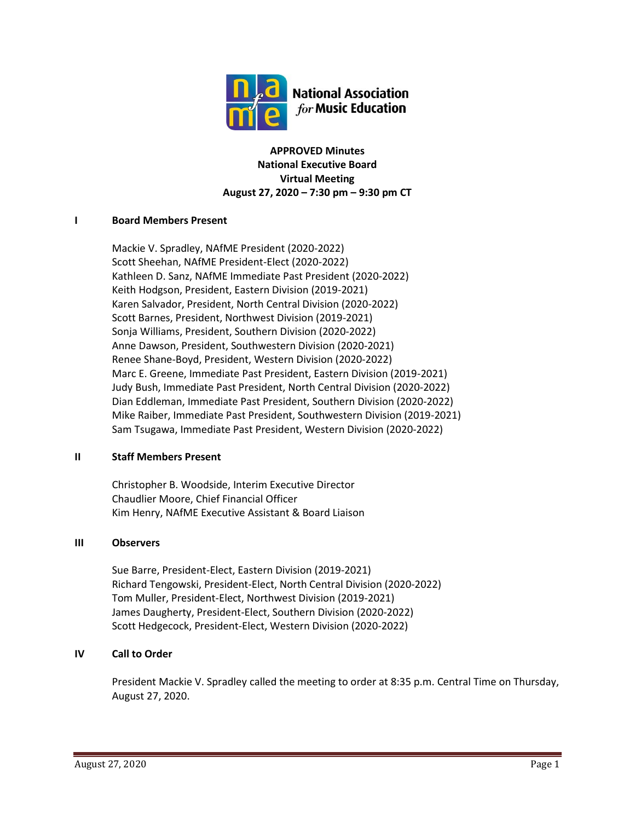

**APPROVED Minutes National Executive Board Virtual Meeting August 27, 2020 – 7:30 pm – 9:30 pm CT**

## **I Board Members Present**

Mackie V. Spradley, NAfME President (2020-2022) Scott Sheehan, NAfME President-Elect (2020-2022) Kathleen D. Sanz, NAfME Immediate Past President (2020-2022) Keith Hodgson, President, Eastern Division (2019-2021) Karen Salvador, President, North Central Division (2020-2022) Scott Barnes, President, Northwest Division (2019-2021) Sonja Williams, President, Southern Division (2020-2022) Anne Dawson, President, Southwestern Division (2020-2021) Renee Shane-Boyd, President, Western Division (2020-2022) Marc E. Greene, Immediate Past President, Eastern Division (2019-2021) Judy Bush, Immediate Past President, North Central Division (2020-2022) Dian Eddleman, Immediate Past President, Southern Division (2020-2022) Mike Raiber, Immediate Past President, Southwestern Division (2019-2021) Sam Tsugawa, Immediate Past President, Western Division (2020-2022)

## **II Staff Members Present**

Christopher B. Woodside, Interim Executive Director Chaudlier Moore, Chief Financial Officer Kim Henry, NAfME Executive Assistant & Board Liaison

## **III Observers**

Sue Barre, President-Elect, Eastern Division (2019-2021) Richard Tengowski, President-Elect, North Central Division (2020-2022) Tom Muller, President-Elect, Northwest Division (2019-2021) James Daugherty, President-Elect, Southern Division (2020-2022) Scott Hedgecock, President-Elect, Western Division (2020-2022)

## **IV Call to Order**

President Mackie V. Spradley called the meeting to order at 8:35 p.m. Central Time on Thursday, August 27, 2020.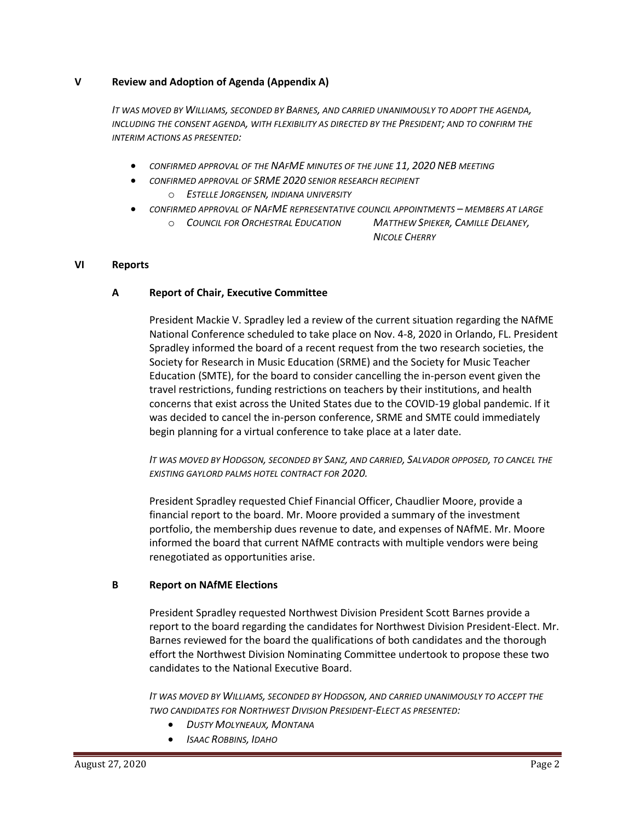#### **V Review and Adoption of Agenda (Appendix A)**

*IT WAS MOVED BY WILLIAMS, SECONDED BY BARNES, AND CARRIED UNANIMOUSLY TO ADOPT THE AGENDA, INCLUDING THE CONSENT AGENDA, WITH FLEXIBILITY AS DIRECTED BY THE PRESIDENT; AND TO CONFIRM THE INTERIM ACTIONS AS PRESENTED:*

- *CONFIRMED APPROVAL OF THE NAFME MINUTES OF THE JUNE 11, 2020 NEB MEETING*
- *CONFIRMED APPROVAL OF SRME 2020 SENIOR RESEARCH RECIPIENT*
	- o *ESTELLE JORGENSEN, INDIANA UNIVERSITY*
- *CONFIRMED APPROVAL OF NAFME REPRESENTATIVE COUNCIL APPOINTMENTS – MEMBERS AT LARGE*
	- o *COUNCIL FOR ORCHESTRAL EDUCATION MATTHEW SPIEKER, CAMILLE DELANEY,*

*NICOLE CHERRY*

#### **VI Reports**

#### **A Report of Chair, Executive Committee**

President Mackie V. Spradley led a review of the current situation regarding the NAfME National Conference scheduled to take place on Nov. 4-8, 2020 in Orlando, FL. President Spradley informed the board of a recent request from the two research societies, the Society for Research in Music Education (SRME) and the Society for Music Teacher Education (SMTE), for the board to consider cancelling the in-person event given the travel restrictions, funding restrictions on teachers by their institutions, and health concerns that exist across the United States due to the COVID-19 global pandemic. If it was decided to cancel the in-person conference, SRME and SMTE could immediately begin planning for a virtual conference to take place at a later date.

*IT WAS MOVED BY HODGSON, SECONDED BY SANZ, AND CARRIED, SALVADOR OPPOSED, TO CANCEL THE EXISTING GAYLORD PALMS HOTEL CONTRACT FOR 2020.*

President Spradley requested Chief Financial Officer, Chaudlier Moore, provide a financial report to the board. Mr. Moore provided a summary of the investment portfolio, the membership dues revenue to date, and expenses of NAfME. Mr. Moore informed the board that current NAfME contracts with multiple vendors were being renegotiated as opportunities arise.

#### **B Report on NAfME Elections**

President Spradley requested Northwest Division President Scott Barnes provide a report to the board regarding the candidates for Northwest Division President-Elect. Mr. Barnes reviewed for the board the qualifications of both candidates and the thorough effort the Northwest Division Nominating Committee undertook to propose these two candidates to the National Executive Board.

*IT WAS MOVED BY WILLIAMS, SECONDED BY HODGSON, AND CARRIED UNANIMOUSLY TO ACCEPT THE TWO CANDIDATES FOR NORTHWEST DIVISION PRESIDENT-ELECT AS PRESENTED:*

- *DUSTY MOLYNEAUX, MONTANA*
- *ISAAC ROBBINS, IDAHO*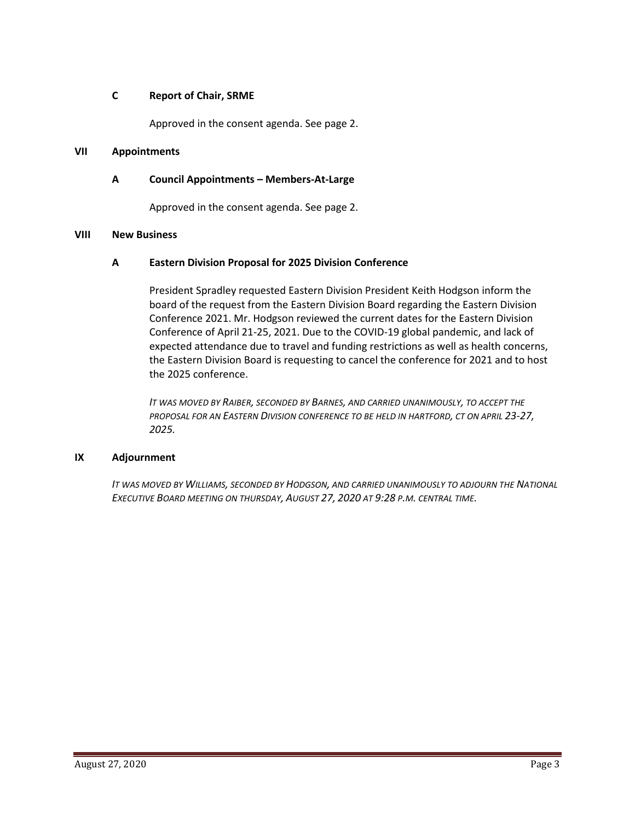## **C Report of Chair, SRME**

Approved in the consent agenda. See page 2.

## **VII Appointments**

## **A Council Appointments – Members-At-Large**

Approved in the consent agenda. See page 2.

#### **VIII New Business**

#### **A Eastern Division Proposal for 2025 Division Conference**

President Spradley requested Eastern Division President Keith Hodgson inform the board of the request from the Eastern Division Board regarding the Eastern Division Conference 2021. Mr. Hodgson reviewed the current dates for the Eastern Division Conference of April 21-25, 2021. Due to the COVID-19 global pandemic, and lack of expected attendance due to travel and funding restrictions as well as health concerns, the Eastern Division Board is requesting to cancel the conference for 2021 and to host the 2025 conference.

*IT WAS MOVED BY RAIBER, SECONDED BY BARNES, AND CARRIED UNANIMOUSLY, TO ACCEPT THE PROPOSAL FOR AN EASTERN DIVISION CONFERENCE TO BE HELD IN HARTFORD, CT ON APRIL 23-27, 2025.*

#### **IX Adjournment**

*IT WAS MOVED BY WILLIAMS, SECONDED BY HODGSON, AND CARRIED UNANIMOUSLY TO ADJOURN THE NATIONAL EXECUTIVE BOARD MEETING ON THURSDAY, AUGUST 27, 2020 AT 9:28 P.M. CENTRAL TIME.*